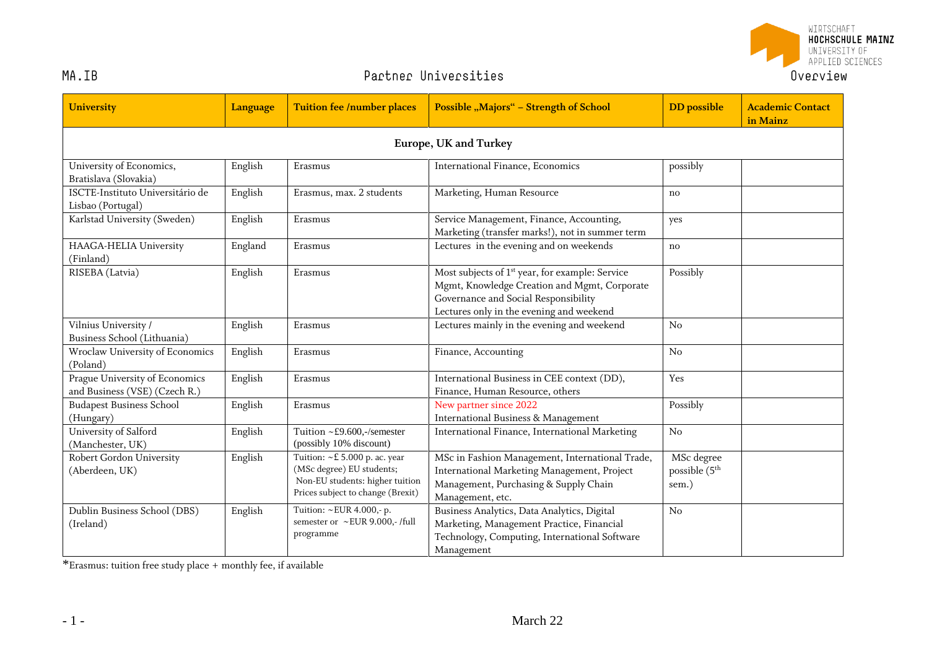

## MA.IB

## Partner Universities

| <b>University</b>                                               | Language | <b>Tuition fee /number places</b>                                                                                                  | <b>Possible "Majors" - Strength of School</b>                                                                                                                                                   | <b>DD</b> possible                               | <b>Academic Contact</b><br>in Mainz |  |  |  |
|-----------------------------------------------------------------|----------|------------------------------------------------------------------------------------------------------------------------------------|-------------------------------------------------------------------------------------------------------------------------------------------------------------------------------------------------|--------------------------------------------------|-------------------------------------|--|--|--|
| Europe, UK and Turkey                                           |          |                                                                                                                                    |                                                                                                                                                                                                 |                                                  |                                     |  |  |  |
| University of Economics,<br>Bratislava (Slovakia)               | English  | Erasmus                                                                                                                            | International Finance, Economics                                                                                                                                                                | possibly                                         |                                     |  |  |  |
| ISCTE-Instituto Universitário de<br>Lisbao (Portugal)           | English  | Erasmus, max. 2 students                                                                                                           | Marketing, Human Resource                                                                                                                                                                       | $\mathbf{n}$                                     |                                     |  |  |  |
| Karlstad University (Sweden)                                    | English  | Erasmus                                                                                                                            | Service Management, Finance, Accounting,<br>Marketing (transfer marks!), not in summer term                                                                                                     | yes                                              |                                     |  |  |  |
| HAAGA-HELIA University<br>(Finland)                             | England  | Erasmus                                                                                                                            | Lectures in the evening and on weekends                                                                                                                                                         | no                                               |                                     |  |  |  |
| RISEBA (Latvia)                                                 | English  | Erasmus                                                                                                                            | Most subjects of 1 <sup>st</sup> year, for example: Service<br>Mgmt, Knowledge Creation and Mgmt, Corporate<br>Governance and Social Responsibility<br>Lectures only in the evening and weekend | Possibly                                         |                                     |  |  |  |
| Vilnius University /<br>Business School (Lithuania)             | English  | Erasmus                                                                                                                            | Lectures mainly in the evening and weekend                                                                                                                                                      | No                                               |                                     |  |  |  |
| Wroclaw University of Economics<br>(Poland)                     | English  | Erasmus                                                                                                                            | Finance, Accounting                                                                                                                                                                             | No                                               |                                     |  |  |  |
| Prague University of Economics<br>and Business (VSE) (Czech R.) | English  | Erasmus                                                                                                                            | International Business in CEE context (DD),<br>Finance, Human Resource, others                                                                                                                  | Yes                                              |                                     |  |  |  |
| <b>Budapest Business School</b><br>(Hungary)                    | English  | Erasmus                                                                                                                            | New partner since 2022<br><b>International Business &amp; Management</b>                                                                                                                        | Possibly                                         |                                     |  |  |  |
| University of Salford<br>(Manchester, UK)                       | English  | Tuition ~£9.600,-/semester<br>(possibly 10% discount)                                                                              | International Finance, International Marketing                                                                                                                                                  | No                                               |                                     |  |  |  |
| Robert Gordon University<br>(Aberdeen, UK)                      | English  | Tuition: ~£ 5.000 p. ac. year<br>(MSc degree) EU students;<br>Non-EU students: higher tuition<br>Prices subject to change (Brexit) | MSc in Fashion Management, International Trade,<br>International Marketing Management, Project<br>Management, Purchasing & Supply Chain<br>Management, etc.                                     | MSc degree<br>possible (5 <sup>th</sup><br>sem.) |                                     |  |  |  |
| Dublin Business School (DBS)<br>(Ireland)                       | English  | Tuition: ~EUR 4.000,- p.<br>semester or ~EUR 9.000,-/full<br>programme                                                             | Business Analytics, Data Analytics, Digital<br>Marketing, Management Practice, Financial<br>Technology, Computing, International Software<br>Management                                         | No                                               |                                     |  |  |  |

\*Erasmus: tuition free study place + monthly fee, if available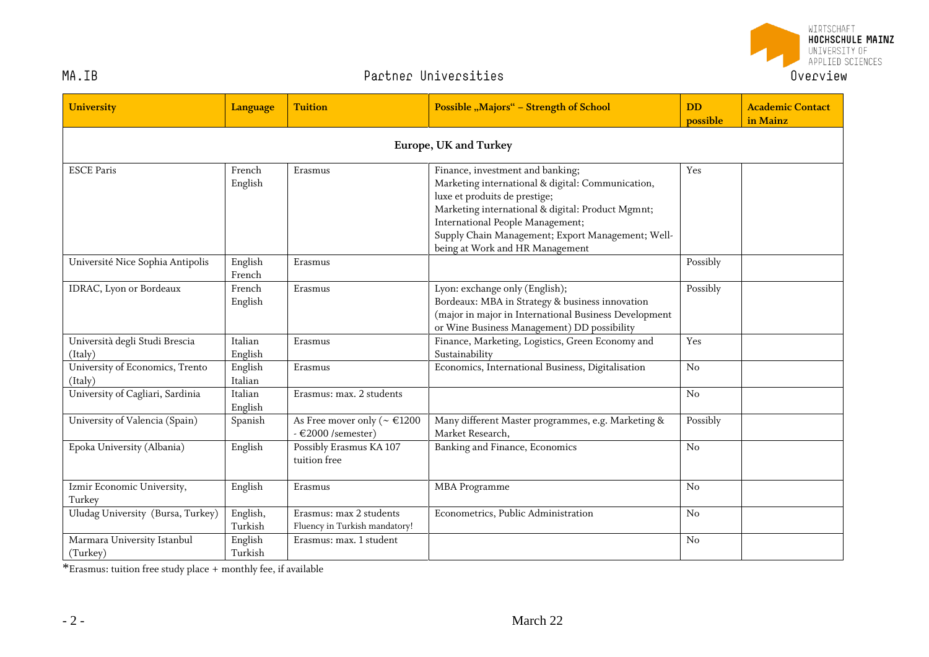

## Partner Universities

| <b>University</b>                          | Language            | <b>Tuition</b>                                                               | <b>Possible "Majors" - Strength of School</b>                                                                                                                                                                                                                                                           | <b>DD</b><br>possible | <b>Academic Contact</b><br>in Mainz |  |  |
|--------------------------------------------|---------------------|------------------------------------------------------------------------------|---------------------------------------------------------------------------------------------------------------------------------------------------------------------------------------------------------------------------------------------------------------------------------------------------------|-----------------------|-------------------------------------|--|--|
| Europe, UK and Turkey                      |                     |                                                                              |                                                                                                                                                                                                                                                                                                         |                       |                                     |  |  |
| <b>ESCE Paris</b>                          | French<br>English   | Erasmus                                                                      | Finance, investment and banking;<br>Marketing international & digital: Communication,<br>luxe et produits de prestige;<br>Marketing international & digital: Product Mgmnt;<br>International People Management;<br>Supply Chain Management; Export Management; Well-<br>being at Work and HR Management | Yes                   |                                     |  |  |
| Université Nice Sophia Antipolis           | English<br>French   | Erasmus                                                                      |                                                                                                                                                                                                                                                                                                         | Possibly              |                                     |  |  |
| IDRAC, Lyon or Bordeaux                    | French<br>English   | Erasmus                                                                      | Lyon: exchange only (English);<br>Bordeaux: MBA in Strategy & business innovation<br>(major in major in International Business Development<br>or Wine Business Management) DD possibility                                                                                                               | Possibly              |                                     |  |  |
| Università degli Studi Brescia<br>(Italy)  | Italian<br>English  | Erasmus                                                                      | Finance, Marketing, Logistics, Green Economy and<br>Sustainability                                                                                                                                                                                                                                      | Yes                   |                                     |  |  |
| University of Economics, Trento<br>(Italy) | English<br>Italian  | Erasmus                                                                      | Economics, International Business, Digitalisation                                                                                                                                                                                                                                                       | No                    |                                     |  |  |
| University of Cagliari, Sardinia           | Italian<br>English  | Erasmus: max. 2 students                                                     |                                                                                                                                                                                                                                                                                                         | N <sub>o</sub>        |                                     |  |  |
| University of Valencia (Spain)             | Spanish             | As Free mover only ( $\sim \text{\textsterling}1200$<br>$-$ €2000 /semester) | Many different Master programmes, e.g. Marketing &<br>Market Research,                                                                                                                                                                                                                                  | Possibly              |                                     |  |  |
| Epoka University (Albania)                 | English             | Possibly Erasmus KA 107<br>tuition free                                      | Banking and Finance, Economics                                                                                                                                                                                                                                                                          | No                    |                                     |  |  |
| Izmir Economic University,<br>Turkey       | English             | Erasmus                                                                      | <b>MBA</b> Programme                                                                                                                                                                                                                                                                                    | No                    |                                     |  |  |
| Uludag University (Bursa, Turkey)          | English,<br>Turkish | Erasmus: max 2 students<br>Fluency in Turkish mandatory!                     | Econometrics, Public Administration                                                                                                                                                                                                                                                                     | No                    |                                     |  |  |
| Marmara University Istanbul<br>(Turkey)    | English<br>Turkish  | Erasmus: max. 1 student                                                      |                                                                                                                                                                                                                                                                                                         | No                    |                                     |  |  |

\*Erasmus: tuition free study place + monthly fee, if available

MA.IB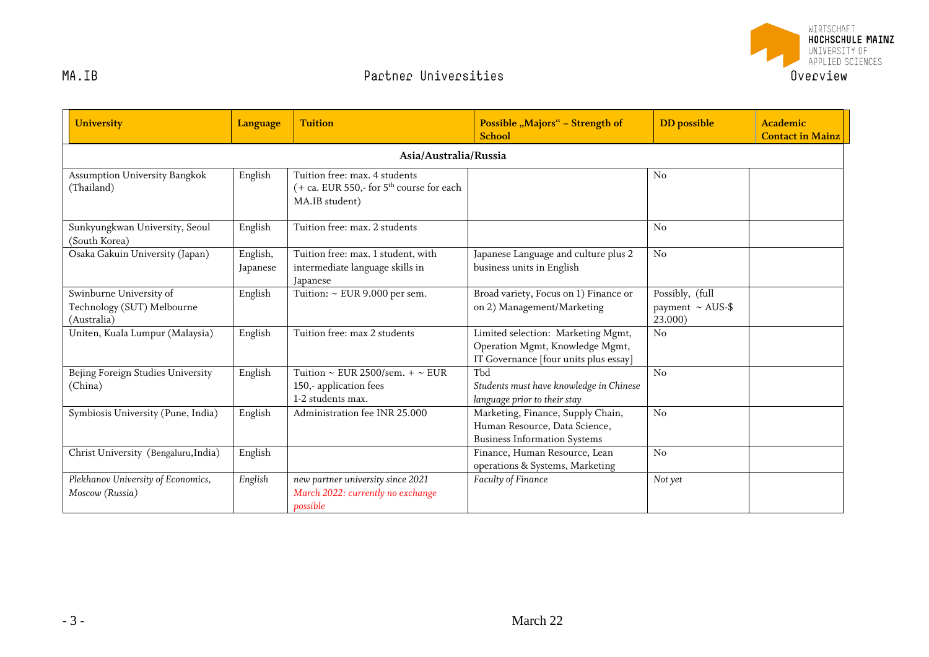

| <b>University</b>                                                    | <b>Language</b>      | <b>Tuition</b>                                                                                | Possible "Majors" - Strength of<br><b>School</b>                                                               | <b>DD</b> possible                                  | <b>Academic</b><br><b>Contact in Mainz</b> |  |  |
|----------------------------------------------------------------------|----------------------|-----------------------------------------------------------------------------------------------|----------------------------------------------------------------------------------------------------------------|-----------------------------------------------------|--------------------------------------------|--|--|
| Asia/Australia/Russia                                                |                      |                                                                                               |                                                                                                                |                                                     |                                            |  |  |
| Assumption University Bangkok<br>(Thailand)                          | English              | Tuition free: max. 4 students<br>(+ ca. EUR 550,- for $5th$ course for each<br>MA.IB student) |                                                                                                                | N <sub>0</sub>                                      |                                            |  |  |
| Sunkyungkwan University, Seoul<br>(South Korea)                      | English              | Tuition free: max. 2 students                                                                 |                                                                                                                | No                                                  |                                            |  |  |
| Osaka Gakuin University (Japan)                                      | English,<br>Japanese | Tuition free: max. 1 student, with<br>intermediate language skills in<br>Japanese             | Japanese Language and culture plus 2<br>business units in English                                              | No                                                  |                                            |  |  |
| Swinburne University of<br>Technology (SUT) Melbourne<br>(Australia) | English              | Tuition: $\sim$ EUR 9.000 per sem.                                                            | Broad variety, Focus on 1) Finance or<br>on 2) Management/Marketing                                            | Possibly, (full<br>payment $\sim$ AUS-\$<br>23.000) |                                            |  |  |
| Uniten, Kuala Lumpur (Malaysia)                                      | English              | Tuition free: max 2 students                                                                  | Limited selection: Marketing Mgmt,<br>Operation Mgmt, Knowledge Mgmt,<br>IT Governance [four units plus essay] | No                                                  |                                            |  |  |
| Bejing Foreign Studies University<br>(China)                         | English              | Tuition ~ EUR 2500/sem. + ~ EUR<br>150,-application fees<br>1-2 students max.                 | Tbd<br>Students must have knowledge in Chinese<br>language prior to their stay                                 | No                                                  |                                            |  |  |
| Symbiosis University (Pune, India)                                   | English              | Administration fee INR 25,000                                                                 | Marketing, Finance, Supply Chain,<br>Human Resource, Data Science,<br><b>Business Information Systems</b>      | No                                                  |                                            |  |  |
| Christ University (Bengaluru, India)                                 | English              |                                                                                               | Finance, Human Resource, Lean<br>operations & Systems, Marketing                                               | No                                                  |                                            |  |  |
| Plekhanov University of Economics,<br>Moscow (Russia)                | English              | new partner university since 2021<br>March 2022: currently no exchange<br>possible            | Faculty of Finance                                                                                             | Not yet                                             |                                            |  |  |